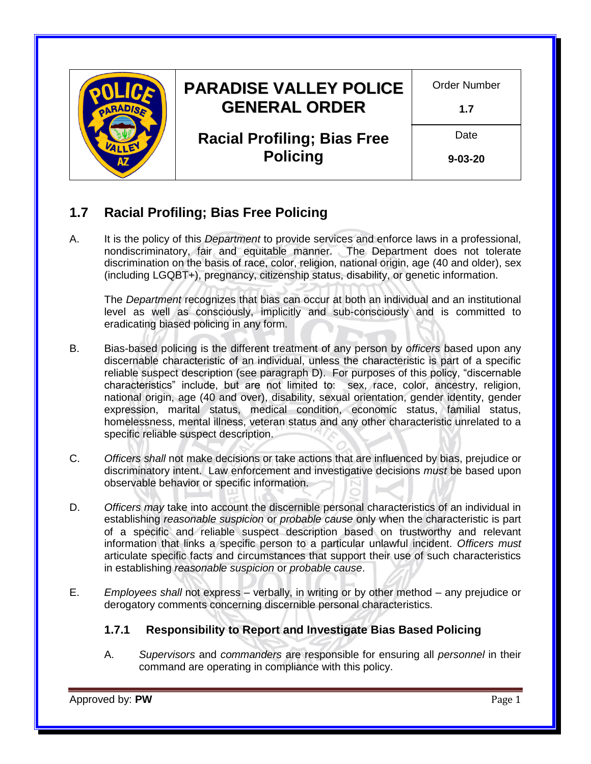

# **1.7 Racial Profiling; Bias Free Policing**

A. It is the policy of this *Department* to provide services and enforce laws in a professional, nondiscriminatory, fair and equitable manner. The Department does not tolerate discrimination on the basis of race, color, religion, national origin, age (40 and older), sex (including LGQBT+), pregnancy, citizenship status, disability, or genetic information.

The *Department* recognizes that bias can occur at both an individual and an institutional level as well as consciously, implicitly and sub-consciously and is committed to eradicating biased policing in any form.

- B. Bias-based policing is the different treatment of any person by *officers* based upon any discernable characteristic of an individual, unless the characteristic is part of a specific reliable suspect description (see paragraph D). For purposes of this policy, "discernable characteristics" include, but are not limited to: sex, race, color, ancestry, religion, national origin, age (40 and over), disability, sexual orientation, gender identity, gender expression, marital status, medical condition, economic status, familial status, homelessness, mental illness, veteran status and any other characteristic unrelated to a specific reliable suspect description.
- C. *Officers shall* not make decisions or take actions that are influenced by bias, prejudice or discriminatory intent. Law enforcement and investigative decisions *must* be based upon observable behavior or specific information.
- D. *Officers may* take into account the discernible personal characteristics of an individual in establishing *[reasonable suspicion](https://www.maricopa.gov/919/Probable-Cause-Versus-Reasonable-Suspici)* or *[probable cause](https://www.maricopa.gov/919/Probable-Cause-Versus-Reasonable-Suspici)* only when the characteristic is part of a specific and reliable suspect description based on trustworthy and relevant information that links a specific person to a particular unlawful incident. *Officers must* articulate specific facts and circumstances that support their use of such characteristics in establishing *[reasonable suspicion](https://www.maricopa.gov/919/Probable-Cause-Versus-Reasonable-Suspici)* or *[probable cause](https://www.maricopa.gov/919/Probable-Cause-Versus-Reasonable-Suspici)*.
- E. *Employees shall* not express verbally, in writing or by other method any prejudice or derogatory comments concerning discernible personal characteristics.

# **1.7.1 Responsibility to Report and Investigate Bias Based Policing**

A. *Supervisors* and *commanders* are responsible for ensuring all *personnel* in their command are operating in compliance with this policy.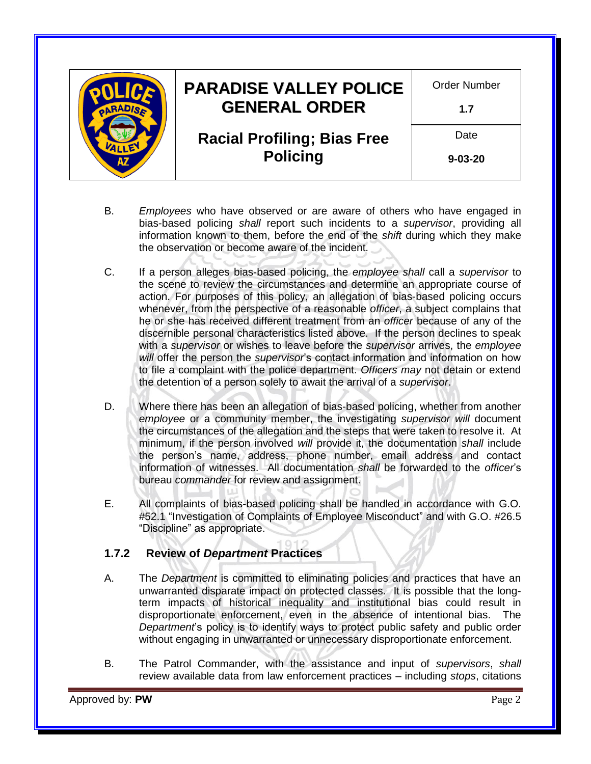|  | <b>PARADISE VALLEY POLICE</b><br><b>GENERAL ORDER</b> | Order Number<br>1.7   |
|--|-------------------------------------------------------|-----------------------|
|  | <b>Racial Profiling; Bias Free</b><br><b>Policing</b> | Date<br>$9 - 03 - 20$ |

- B. *Employees* who have observed or are aware of others who have engaged in bias-based policing *shall* report such incidents to a *supervisor*, providing all information known to them, before the end of the *shift* during which they make the observation or become aware of the incident.
- C. If a person alleges bias‐based policing, the *employee shall* call a *supervisor* to the scene to review the circumstances and determine an appropriate course of action. For purposes of this policy, an allegation of bias-based policing occurs whenever, from the perspective of a reasonable *officer*, a subject complains that he or she has received different treatment from an *officer* because of any of the discernible personal characteristics listed above. If the person declines to speak with a *supervisor* or wishes to leave before the *supervisor* arrives, the *employee will* offer the person the *supervisor*'s contact information and information on how to file a complaint with the police department. *Officers may* not detain or extend the detention of a person solely to await the arrival of a *supervisor*.
- D. Where there has been an allegation of bias-based policing, whether from another *employee* or a community member, the investigating *supervisor will* document the circumstances of the allegation and the steps that were taken to resolve it. At minimum, if the person involved *will* provide it, the documentation *shall* include the person's name, address, phone number, email address and contact information of witnesses. All documentation *shall* be forwarded to the *officer*'s bureau *commander* for review and assignment.
- E. All complaints of bias-based policing shall be handled in accordance with G.O. #52.1 "Investigation of Complaints of Employee Misconduct" and with G.O. #26.5 "Discipline" as appropriate.

# **1.7.2 Review of** *Department* **Practices**

- A. The *Department* is committed to eliminating policies and practices that have an unwarranted disparate impact on protected classes. It is possible that the longterm impacts of historical inequality and institutional bias could result in disproportionate enforcement, even in the absence of intentional bias. The *Department*'s policy is to identify ways to protect public safety and public order without engaging in unwarranted or unnecessary disproportionate enforcement.
- B. The Patrol Commander, with the assistance and input of *supervisors*, *shall* review available data from law enforcement practices – including *stops*, citations

Approved by: **PW** Page 2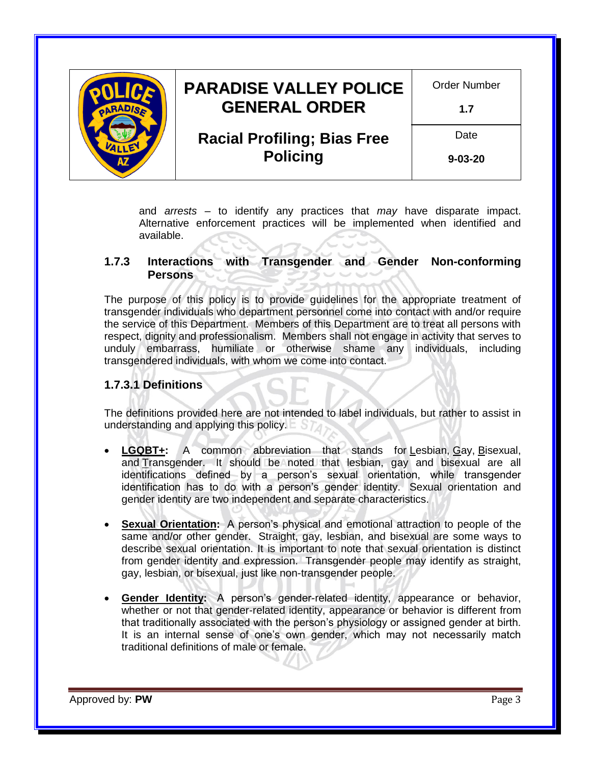

and *arrests* – to identify any practices that *may* have disparate impact. Alternative enforcement practices will be implemented when identified and available.

#### **1.7.3 Interactions with Transgender and Gender Non-conforming Persons**

The purpose of this policy is to provide guidelines for the appropriate treatment of transgender individuals who department personnel come into contact with and/or require the service of this Department. Members of this Department are to treat all persons with respect, dignity and professionalism. Members shall not engage in activity that serves to unduly embarrass, humiliate or otherwise shame any individuals, including transgendered individuals, with whom we come into contact.

#### **1.7.3.1 Definitions**

The definitions provided here are not intended to label individuals, but rather to assist in understanding and applying this policy.

- **LGQBT+:** A common abbreviation that stands for Lesbian, Gay, Bisexual, and Transgender. It should be noted that lesbian, gay and bisexual are all identifications defined by a person's sexual orientation, while transgender identification has to do with a person's gender identity. Sexual orientation and gender identity are two independent and separate characteristics.
- **Sexual Orientation:** A person's physical and emotional attraction to people of the same and/or other gender. Straight, gay, lesbian, and bisexual are some ways to describe sexual orientation. It is important to note that sexual orientation is distinct from gender identity and expression. Transgender people may identify as straight, gay, lesbian, or bisexual, just like non-transgender people.
- **Gender Identity:** A person's gender-related identity, appearance or behavior, whether or not that gender-related identity, appearance or behavior is different from that traditionally associated with the person's physiology or assigned gender at birth. It is an internal sense of one's own gender, which may not necessarily match traditional definitions of male or female.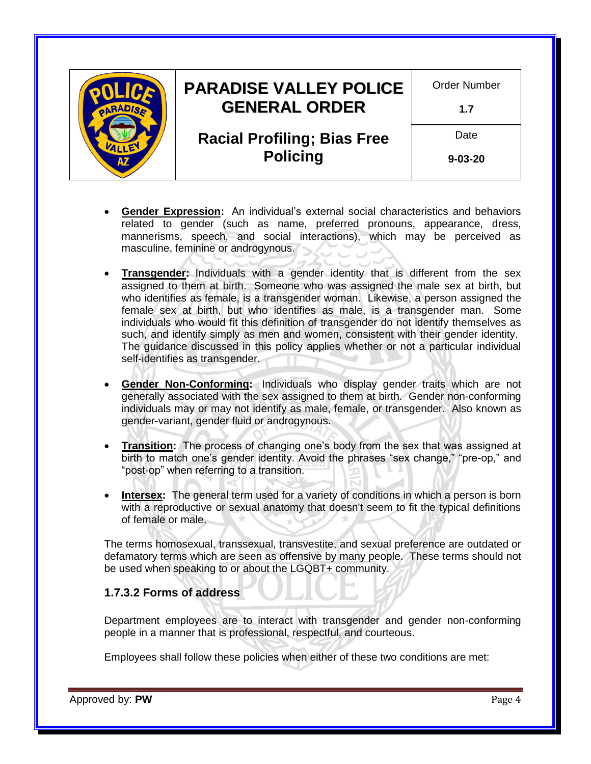| <b>PARADISE VALLEY POLICE</b>      | <b>Order Number</b> |
|------------------------------------|---------------------|
| <b>GENERAL ORDER</b>               | 1.7                 |
| <b>Racial Profiling; Bias Free</b> | Date                |
| <b>Policing</b>                    | $9 - 03 - 20$       |
|                                    |                     |

- **Gender Expression:** An individual's external social characteristics and behaviors related to gender (such as name, preferred pronouns, appearance, dress, mannerisms, speech, and social interactions), which may be perceived as masculine, feminine or androgynous.
- **Transgender:** Individuals with a gender identity that is different from the sex assigned to them at birth. Someone who was assigned the male sex at birth, but who identifies as female, is a transgender woman. Likewise, a person assigned the female sex at birth, but who identifies as male, is a transgender man. Some individuals who would fit this definition of transgender do not identify themselves as such, and identify simply as men and women, consistent with their gender identity. The guidance discussed in this policy applies whether or not a particular individual self-identifies as transgender.
- **Gender Non-Conforming:** Individuals who display gender traits which are not generally associated with the sex assigned to them at birth. Gender non-conforming individuals may or may not identify as male, female, or transgender. Also known as gender-variant, gender fluid or androgynous.
- **Transition:** The process of changing one's body from the sex that was assigned at birth to match one's gender identity. Avoid the phrases "sex change," "pre-op," and "post-op" when referring to a transition.
- **Intersex:** The general term used for a variety of conditions in which a person is born with a reproductive or sexual anatomy that doesn't seem to fit the typical definitions of female or male.

The terms homosexual, transsexual, transvestite, and sexual preference are outdated or defamatory terms which are seen as offensive by many people. These terms should not be used when speaking to or about the LGQBT+ community.

#### **1.7.3.2 Forms of address**

Department employees are to interact with transgender and gender non-conforming people in a manner that is professional, respectful, and courteous.

Employees shall follow these policies when either of these two conditions are met: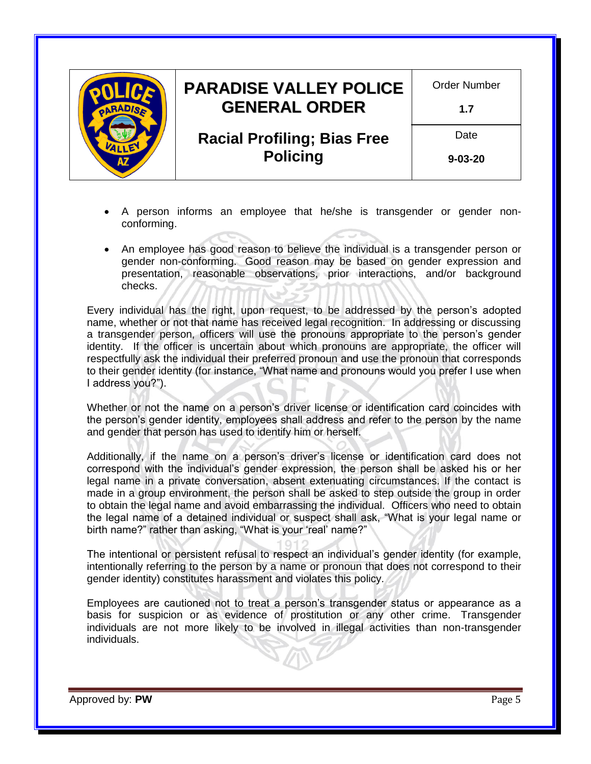

- A person informs an employee that he/she is transgender or gender nonconforming.
- An employee has good reason to believe the individual is a transgender person or gender non-conforming. Good reason may be based on gender expression and presentation, reasonable observations, prior interactions, and/or background checks.

Every individual has the right, upon request, to be addressed by the person's adopted name, whether or not that name has received legal recognition. In addressing or discussing a transgender person, officers will use the pronouns appropriate to the person's gender identity. If the officer is uncertain about which pronouns are appropriate, the officer will respectfully ask the individual their preferred pronoun and use the pronoun that corresponds to their gender identity (for instance, "What name and pronouns would you prefer I use when I address you?").

Whether or not the name on a person's driver license or identification card coincides with the person's gender identity, employees shall address and refer to the person by the name and gender that person has used to identify him or herself.

Additionally, if the name on a person's driver's license or identification card does not correspond with the individual's gender expression, the person shall be asked his or her legal name in a private conversation, absent extenuating circumstances. If the contact is made in a group environment, the person shall be asked to step outside the group in order to obtain the legal name and avoid embarrassing the individual. Officers who need to obtain the legal name of a detained individual or suspect shall ask, "What is your legal name or birth name?" rather than asking, "What is your 'real' name?"

The intentional or persistent refusal to respect an individual's gender identity (for example, intentionally referring to the person by a name or pronoun that does not correspond to their gender identity) constitutes harassment and violates this policy.

Employees are cautioned not to treat a person's transgender status or appearance as a basis for suspicion or as evidence of prostitution or any other crime. Transgender individuals are not more likely to be involved in illegal activities than non-transgender individuals.

Approved by: **PW** Page 5